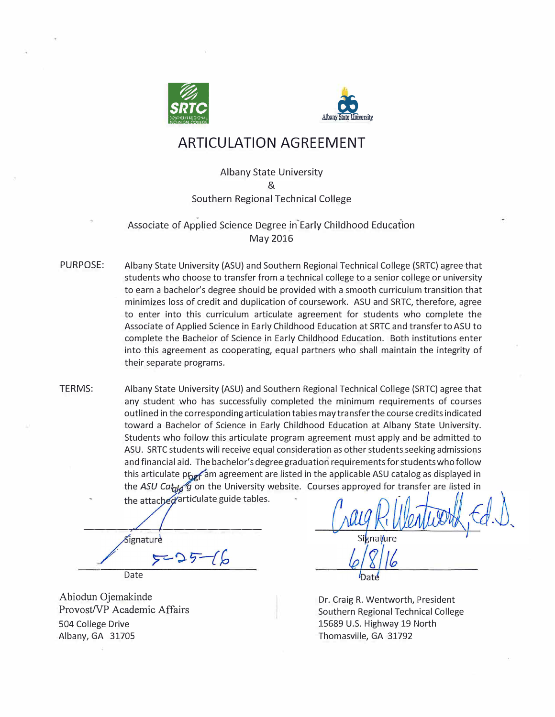



# **ARTICULATION AGREEMENT**

## Albany State University & Southern Regional Technical College

## - Associate of Applied Science Degree in Early Childhood Education May 2016

- PURPOSE: Albany State University {ASU) and Southern Regional Technical College (SRTC) agree that students who choose to transfer from a technical college to a senior college or university to earn a bachelor's degree should be provided with a smooth curriculum transition that minimizes loss of credit and duplication of coursework. ASU and SRTC, therefore, agree to enter into this curriculum articulate agreement for students who complete the Associate of Applied Science in Early Childhood Education at SRTC and transfer to ASU to complete the Bachelor of Science in Early Childhood Education. Both institutions enter into this agreement as cooperating, equal partners who shall maintain the integrity of their separate programs.
- TERMS: Albany State University {ASU) and Southern Regional Technical College (SRTC) agree that any student who has successfully completed the minimum requirements of courses outlined in the corresponding articulation tables may transfer the course credits indicated toward a Bachelor of Science in Early Childhood Education at Albany State University. Students who follow this articulate program agreement must apply and be admitted to ASU. SRTC students will receive equal consideration as other students seeking admissions and financial aid. The bachelor's degree graduation requirements for students who follow this articulate prog am agreement are listed in the applicable ASU catalog as displayed in the ASU Catale g on the University website. Courses approyed for transfer are listed in the attached<sup>articulate guide tables.</sup>

----"T""""--t---------- Signature  $-25-$ 

Date

Abiodun Ojemakinde<br>
Provost/VP Academic Affairs<br>
Provost/VP Academic Affairs<br>
Southern Regional Technical College 504 College Drive 15689 U.S. Highway 19 North Albany, GA 31705 Thomasville, GA 31792

**� ·** *Q.* �'

Southern Regional Technical College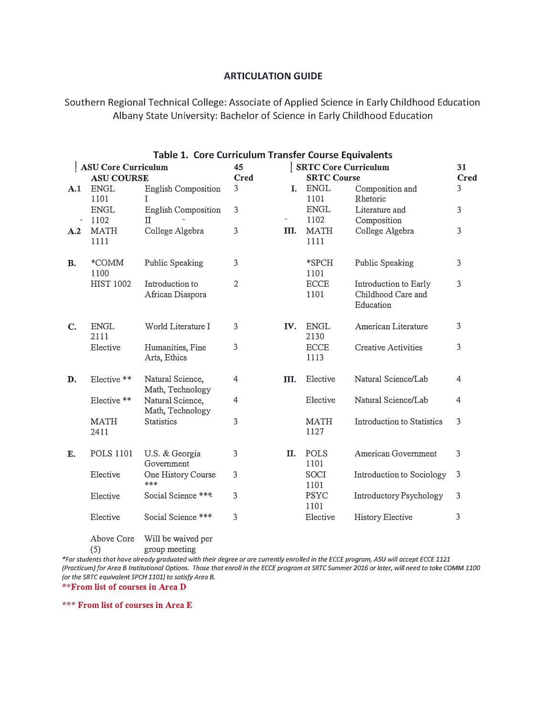### **ARTICULATION GUIDE**

Southern Regional Technical College: Associate of Applied Science in Early Childhood Education Albany State University: Bachelor of Science in Early Childhood Education

|                            |                      | Table 1. Core Curriculum Transfer Course Equivalents |                |                             |                     |                                                          |    |  |
|----------------------------|----------------------|------------------------------------------------------|----------------|-----------------------------|---------------------|----------------------------------------------------------|----|--|
| <b>ASU Core Curriculum</b> |                      |                                                      | 45             | <b>SRTC Core Curriculum</b> |                     |                                                          | 31 |  |
| <b>ASU COURSE</b>          |                      |                                                      | <b>Cred</b>    |                             | <b>SRTC Course</b>  | <b>Cred</b>                                              |    |  |
| A.1                        | <b>ENGL</b><br>1101  | English Composition<br>T                             | 3              | I.                          | <b>ENGL</b><br>1101 | Composition and<br>Rhetoric                              | 3  |  |
|                            | <b>ENGL</b><br>1102  | <b>English Composition</b><br>Π                      | 3              | ÷                           | <b>ENGL</b><br>1102 | Literature and<br>Composition                            | 3  |  |
| A.2                        | <b>MATH</b><br>1111  | College Algebra                                      | 3              | III.                        | <b>MATH</b><br>1111 | College Algebra                                          | 3  |  |
| <b>B.</b>                  | *COMM<br>1100        | Public Speaking                                      | 3              |                             | *SPCH<br>1101       | Public Speaking                                          | 3  |  |
|                            | <b>HIST 1002</b>     | Introduction to<br>African Diaspora                  | $\overline{2}$ |                             | <b>ECCE</b><br>1101 | Introduction to Early<br>Childhood Care and<br>Education | 3  |  |
| C.                         | ${\rm ENGL}$<br>2111 | World Literature I                                   | 3              | IV.                         | <b>ENGL</b><br>2130 | American Literature                                      | 3  |  |
|                            | Elective             | Humanities, Fine<br>Arts, Ethics                     | 3              |                             | <b>ECCE</b><br>1113 | Creative Activities                                      | 3  |  |
| D.                         | Elective **          | Natural Science,<br>Math, Technology                 | 4              | Ш.                          | Elective            | Natural Science/Lab                                      | 4  |  |
|                            | Elective **          | Natural Science,<br>Math, Technology                 | 4              |                             | Elective            | Natural Science/Lab                                      | 4  |  |
|                            | <b>MATH</b><br>2411  | Statistics                                           | 3              |                             | <b>MATH</b><br>1127 | Introduction to Statistics                               | 3  |  |
| Е.                         | <b>POLS 1101</b>     | U.S. & Georgia<br>Government                         | 3              | II.                         | <b>POLS</b><br>1101 | American Government                                      | 3  |  |
|                            | Elective             | One History Course<br>***                            | 3              |                             | <b>SOCI</b><br>1101 | Introduction to Sociology                                | 3  |  |
|                            | Elective             | Social Science ***                                   | 3              |                             | <b>PSYC</b><br>1101 | Introductory Psychology                                  | 3  |  |
|                            | Elective             | Social Science ***                                   | $\overline{3}$ |                             | Elective            | <b>History Elective</b>                                  | 3  |  |
|                            | Above Core           | Will be waived per                                   |                |                             |                     |                                                          |    |  |

( 5) group meeting

*\*For students that have already graduated with their degree or are currently enrolled in the £CC£ program, ASU will accept £CC£ 1121 (Practicum) for Area B Institutional Options. Those that enroll in the ECCE program at SRTC Summer 2016 or later, will need to take COMM 1100 (or the SRTC equivalent SPCH 1101) to satisfy Area B.*  **\*.,'From list of courses in Area D** 

**.,,\*\* From list of courses in Area E**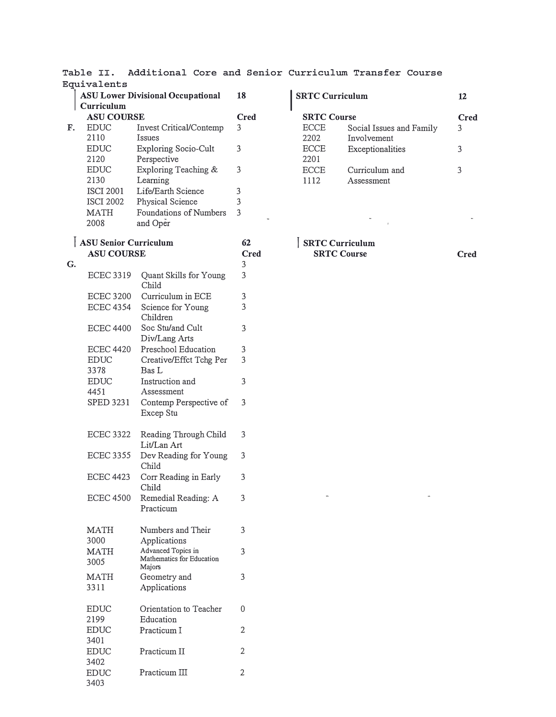|    | Equivalents<br><b>ASU Lower Divisional Occupational</b><br>Curriculum<br><b>ASU COURSE</b> |                                | 18                |                    | <b>SRTC Curriculum</b>   |             |  |
|----|--------------------------------------------------------------------------------------------|--------------------------------|-------------------|--------------------|--------------------------|-------------|--|
|    |                                                                                            |                                | <b>Cred</b>       | <b>SRTC Course</b> |                          | <b>Cred</b> |  |
| F. | <b>EDUC</b>                                                                                | Invest Critical/Contemp        | 3                 | <b>ECCE</b>        | Social Issues and Family | 3           |  |
|    | 2110                                                                                       | Issues                         |                   | 2202               | Involvement              |             |  |
|    | <b>EDUC</b>                                                                                | Exploring Socio-Cult           | 3                 | <b>ECCE</b>        | Exceptionalities         | 3           |  |
|    | 2120                                                                                       | Perspective                    |                   | 2201               |                          |             |  |
|    | <b>EDUC</b>                                                                                | Exploring Teaching &           | 3                 | <b>ECCE</b>        | Curriculum and           | 3           |  |
|    | 2130                                                                                       | Learning                       |                   | 1112               | Assessment               |             |  |
|    | <b>ISCI 2001</b>                                                                           | Life/Earth Science             | 3                 |                    |                          |             |  |
|    | <b>ISCI 2002</b>                                                                           | Physical Science               | 3                 |                    |                          |             |  |
|    | <b>MATH</b>                                                                                | Foundations of Numbers         | 3                 |                    |                          |             |  |
|    | 2008                                                                                       | and Oper                       |                   |                    |                          |             |  |
|    | <b>ASU Senior Curriculum</b>                                                               |                                |                   |                    | <b>SRTC Curriculum</b>   |             |  |
|    | <b>ASU COURSE</b>                                                                          |                                | 62<br><b>Cred</b> |                    | <b>SRTC Course</b>       | <b>Cred</b> |  |
| G. |                                                                                            |                                | 3                 |                    |                          |             |  |
|    | <b>ECEC 3319</b>                                                                           | Quant Skills for Young         | 3                 |                    |                          |             |  |
|    |                                                                                            | Child                          |                   |                    |                          |             |  |
|    | <b>ECEC 3200</b>                                                                           | Curriculum in ECE              | 3                 |                    |                          |             |  |
|    | <b>ECEC 4354</b>                                                                           | Science for Young              | 3                 |                    |                          |             |  |
|    |                                                                                            | Children                       |                   |                    |                          |             |  |
|    | <b>ECEC 4400</b>                                                                           | Soc Stu/and Cult               | 3                 |                    |                          |             |  |
|    |                                                                                            | Div/Lang Arts                  |                   |                    |                          |             |  |
|    | <b>ECEC 4420</b>                                                                           | Preschool Education            | 3                 |                    |                          |             |  |
|    | <b>EDUC</b>                                                                                | Creative/Effct Tchg Per        | 3                 |                    |                          |             |  |
|    | 3378                                                                                       | Bas L                          |                   |                    |                          |             |  |
|    | <b>EDUC</b>                                                                                | Instruction and                | 3                 |                    |                          |             |  |
|    | 4451                                                                                       | Assessment                     |                   |                    |                          |             |  |
|    | SPED 3231                                                                                  | Contemp Perspective of         | 3                 |                    |                          |             |  |
|    |                                                                                            | Excep Stu                      |                   |                    |                          |             |  |
|    | <b>ECEC 3322</b>                                                                           | Reading Through Child          | 3                 |                    |                          |             |  |
|    |                                                                                            | Lit/Lan Art                    |                   |                    |                          |             |  |
|    | <b>ECEC 3355</b>                                                                           | Dev Reading for Young          | 3                 |                    |                          |             |  |
|    | <b>ECEC 4423</b>                                                                           | Child<br>Corr Reading in Early | 3                 |                    |                          |             |  |
|    |                                                                                            | Child                          |                   |                    |                          |             |  |
|    | <b>ECEC 4500</b>                                                                           | Remedial Reading: A            | 3                 |                    |                          |             |  |
|    |                                                                                            | Practicum                      |                   |                    |                          |             |  |
|    |                                                                                            |                                |                   |                    |                          |             |  |
|    | <b>MATH</b>                                                                                | Numbers and Their              | 3                 |                    |                          |             |  |
|    | 3000                                                                                       | Applications                   |                   |                    |                          |             |  |
|    | <b>MATH</b>                                                                                | Advanced Topics in             | 3                 |                    |                          |             |  |
|    | 3005                                                                                       | Mathematics for Education      |                   |                    |                          |             |  |
|    | <b>MATH</b>                                                                                | Majors<br>Geometry and         | 3                 |                    |                          |             |  |
|    | 3311                                                                                       | Applications                   |                   |                    |                          |             |  |
|    |                                                                                            |                                |                   |                    |                          |             |  |
|    | <b>EDUC</b>                                                                                | Orientation to Teacher         | 0                 |                    |                          |             |  |
|    | 2199                                                                                       | Education                      |                   |                    |                          |             |  |
|    | <b>EDUC</b>                                                                                | Practicum I                    | $\overline{2}$    |                    |                          |             |  |
|    | 3401                                                                                       |                                |                   |                    |                          |             |  |
|    | <b>EDUC</b>                                                                                | Practicum II                   | $\overline{2}$    |                    |                          |             |  |
|    | 3402                                                                                       |                                |                   |                    |                          |             |  |
|    | <b>EDUC</b>                                                                                | Practicum III                  | 2                 |                    |                          |             |  |

3403

|             | Table II. Additional Core and Senior Curriculum Transfer Course |  |  |  |
|-------------|-----------------------------------------------------------------|--|--|--|
| Equivalents |                                                                 |  |  |  |

| <b>SRTC Course</b> |                          | <b>Cred</b> |
|--------------------|--------------------------|-------------|
| <b>ECCE</b>        | Social Issues and Family | 3           |
| 2202               | Involvement              |             |
| <b>ECCE</b>        | Exceptionalities         | κ           |
| 2201               |                          |             |
| <b>ECCE</b>        | Curriculum and           | κ           |
| 1112               | Assessment               |             |
|                    |                          |             |
|                    |                          |             |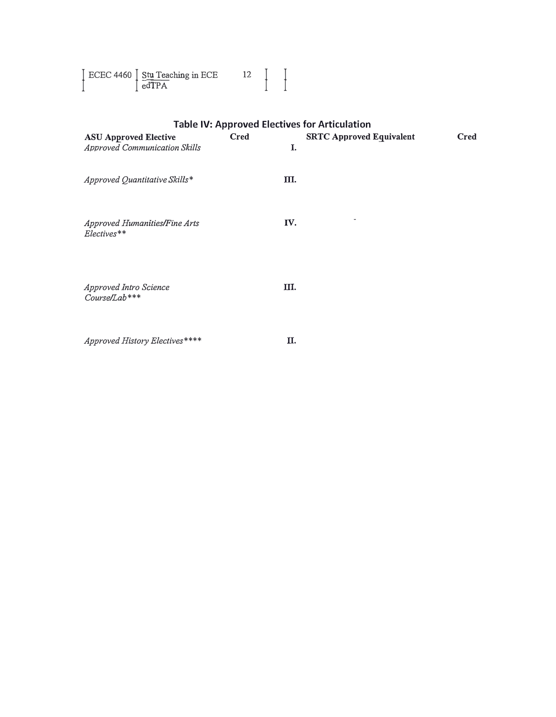| $\left[\begin{array}{cc} \text{ECEC } 4460 & \text{Stu Teaching in ECE} \\ \text{edTPA} & \end{array}\right]$ |  |  |
|---------------------------------------------------------------------------------------------------------------|--|--|
|                                                                                                               |  |  |

| <b>Table IV: Approved Electives for Articulation</b> |             |                                 |             |  |  |  |  |
|------------------------------------------------------|-------------|---------------------------------|-------------|--|--|--|--|
| <b>ASU Approved Elective</b>                         | <b>Cred</b> | <b>SRTC Approved Equivalent</b> | <b>Cred</b> |  |  |  |  |
| <b>Approved Communication Skills</b>                 | I.          |                                 |             |  |  |  |  |
| Approved Quantitative Skills*                        | Ш.          |                                 |             |  |  |  |  |
| Approved Humanities/Fine Arts<br>Electives**         | IV.         |                                 |             |  |  |  |  |
| Approved Intro Science<br>Course/Lab***              | Ш.          |                                 |             |  |  |  |  |
| Approved History Electives****                       | П.          |                                 |             |  |  |  |  |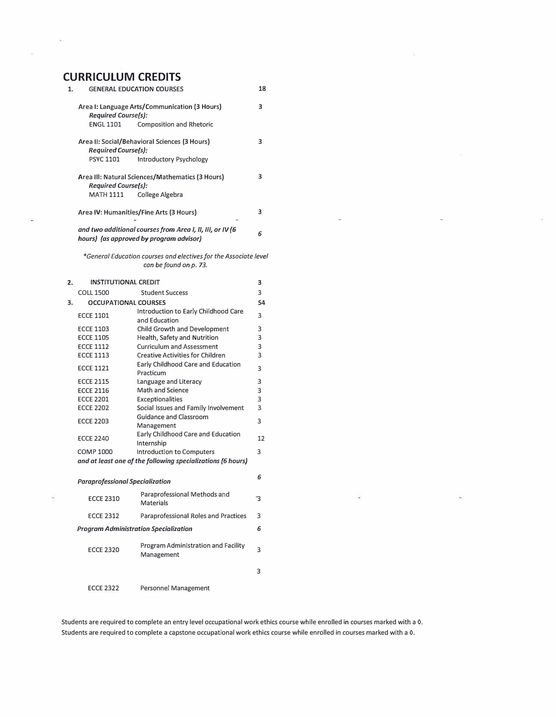## **CURRICULUM CREDITS**

Ŷ.

| 1. | <b>GENERAL EDUCATION COURSES</b>                                            |                                                                                                      |                |  |  |
|----|-----------------------------------------------------------------------------|------------------------------------------------------------------------------------------------------|----------------|--|--|
|    | Area I: Language Arts/Communication (3 Hours)<br><b>Required Course(s):</b> |                                                                                                      |                |  |  |
|    | <b>ENGL 1101</b>                                                            | <b>Composition and Rhetoric</b>                                                                      |                |  |  |
|    | <b>Required Course(s):</b>                                                  | Area II: Social/Behavioral Sciences (3 Hours)                                                        | з              |  |  |
|    | PSYC 1101                                                                   | <b>Introductory Psychology</b>                                                                       |                |  |  |
|    | Required Course(s):                                                         | Area III: Natural Sciences/Mathematics (3 Hours)                                                     | з              |  |  |
|    | <b>MATH 1111</b>                                                            | College Algebra                                                                                      |                |  |  |
|    |                                                                             | Area IV: Humanities/Fine Arts (3 Hours)                                                              | з              |  |  |
|    |                                                                             | and two additional courses from Area I, II, III, or IV (6<br>hours) (as approved by program advisor) | 6              |  |  |
|    |                                                                             | *General Education courses and electives for the Associate level<br>can be found on p. 73.           |                |  |  |
| 2. | <b>INSTITUTIONAL CREDIT</b>                                                 |                                                                                                      | з              |  |  |
|    | <b>COLL 1500</b>                                                            | <b>Student Success</b>                                                                               | 3              |  |  |
| з. | <b>OCCUPATIONAL COURSES</b>                                                 |                                                                                                      | S <sub>4</sub> |  |  |
|    | <b>ECCE 1101</b>                                                            | Introduction to Early Childhood Care<br>and Education                                                | 3              |  |  |
|    | <b>ECCE 1103</b>                                                            | Child Growth and Development                                                                         | 3              |  |  |
|    | <b>ECCE 1105</b>                                                            | Health, Safety and Nutrition                                                                         | 3              |  |  |
|    | <b>ECCE 1112</b>                                                            | <b>Curriculum and Assessment</b>                                                                     | 3<br>3         |  |  |
|    | <b>ECCE 1113</b><br><b>ECCE 1121</b>                                        | <b>Creative Activities for Children</b><br>Early Childhood Care and Education<br>Practicum           | 3              |  |  |
|    | <b>ECCE 2115</b>                                                            | Language and Literacy                                                                                | 3              |  |  |
|    | <b>ECCE 2116</b>                                                            | Math and Science                                                                                     | 3              |  |  |
|    | <b>ECCE 2201</b>                                                            | Exceptionalities                                                                                     | 3              |  |  |
|    | <b>ECCE 2202</b>                                                            | Social Issues and Family Involvement                                                                 | 3              |  |  |
|    | <b>ECCE 2203</b>                                                            | <b>Guidance and Classroom</b><br>Management                                                          | 3              |  |  |
|    | <b>ECCE 2240</b>                                                            | Early Childhood Care and Education<br>Internship                                                     | 12             |  |  |
|    | <b>COMP 1000</b>                                                            | <b>Introduction to Computers</b>                                                                     | 3              |  |  |
|    |                                                                             | and at least one of the following specializations (6 hours)                                          |                |  |  |
|    | <b>Paraprofessional Specialization</b>                                      |                                                                                                      | 6              |  |  |
|    | <b>ECCE 2310</b>                                                            | Paraprofessional Methods and<br><b>Materials</b>                                                     | З              |  |  |
|    | <b>ECCE 2312</b>                                                            | Paraprofessional Roles and Practices                                                                 | 3              |  |  |
|    |                                                                             | <b>Program Administration Specialization</b>                                                         | 6              |  |  |
|    | <b>ECCE 2320</b>                                                            | Program Administration and Facility<br>Management                                                    | 3              |  |  |
|    |                                                                             |                                                                                                      | 3              |  |  |
|    | <b>ECCE 2322</b>                                                            | Personnel Management                                                                                 |                |  |  |

Students are required to complete an entry level occupational work ethics course while enrolled in courses marked with a 0. Students are required to complete a capstone occupational work ethics course while enrolled in courses marked with a 0.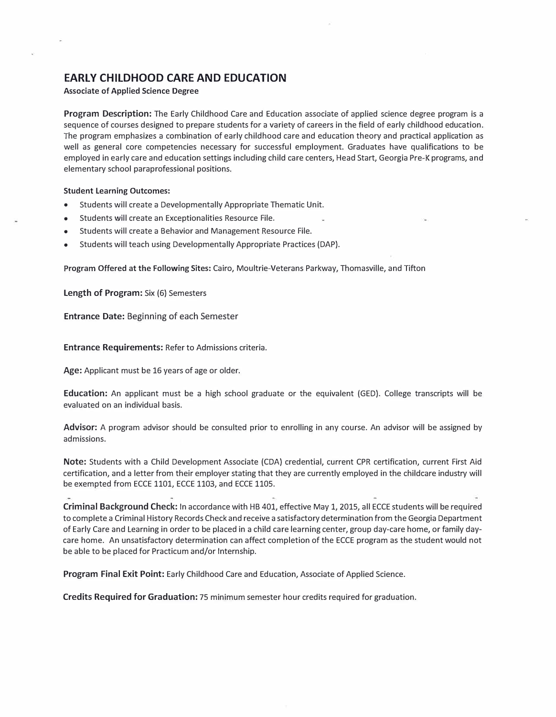## **EARLY CHILDHOOD CARE AND EDUCATION**

#### **Associate of Applied Science Degree**

**Program Description:** The Early Childhood Care and Education associate of applied science degree program is a sequence of courses designed to prepare students for a variety of careers in the field of early childhood education. The program emphasizes a combination of early childhood care and education theory and practical application as well as general core competencies necessary for successful employment. Graduates have qualifications to be employed in early care and education settings including child care centers, Head Start, Georgia Pre-K programs, and elementary school paraprofessional positions.

#### **Student Learning Outcomes:**

- Students will create a Developmentally Appropriate Thematic Unit.
- Students will create an Exceptionalities Resource File.
- Students will create a Behavior and Management Resource File.
- Students will teach using Developmentally Appropriate Practices (OAP).

**Program Offered at the Following Sites:** Cairo, Moultrie-Veterans Parkway, Thomasville, and Tifton

**Length of Program:** Six (6) Semesters

**Entrance Date:** Beginning of each Semester

**Entrance Requirements:** Refer to Admissions criteria.

**Age:** Applicant must be 16 years of age or older.

**Education:** An applicant must be a high school graduate or the equivalent (GED). College transcripts will be evaluated on an individual basis.

**Advisor:** A program advisor should be consulted prior to enrolling in any course. An advisor will be assigned by admissions.

**Note:** Students with a Child Development Associate (CDA) credential, current CPR certification, current First Aid certification, and a letter from their employer stating that they are currently employed in the childcare industry will be exempted from ECCE 1101, ECCE 1103, and ECCE 1105.

**Criminal Background Check:** In accordance with HB 401, effective May 1, 2015, all ECCE students will be required to complete a Criminal History Records Check and receive a satisfactory determination from the Georgia Department of Early Care and Learning in order to be placed in a child care learning center, group day-care home, or family daycare home. An unsatisfactory determination can affect completion of the ECCE program as the student would not be able to be placed for Practicum and/or Internship.

**Program Final Exit Point:** Early Childhood Care and Education, Associate of Applied Science.

**Credits Required for Graduation:** 75 minimum semester hour credits required for graduation.